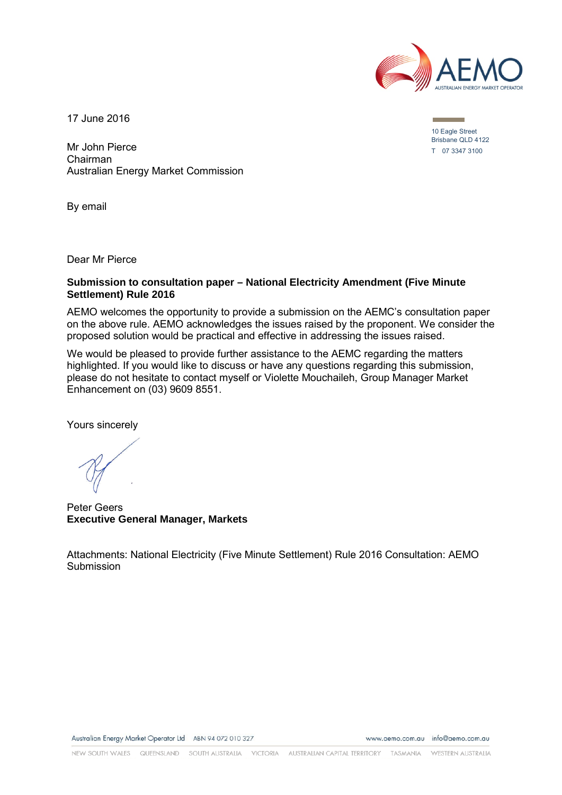

17 June 2016

Mr John Pierce Chairman Australian Energy Market Commission

By email

Dear Mr Pierce

#### **Submission to consultation paper – National Electricity Amendment (Five Minute Settlement) Rule 2016**

AEMO welcomes the opportunity to provide a submission on the AEMC's consultation paper on the above rule. AEMO acknowledges the issues raised by the proponent. We consider the proposed solution would be practical and effective in addressing the issues raised.

We would be pleased to provide further assistance to the AEMC regarding the matters highlighted. If you would like to discuss or have any questions regarding this submission, please do not hesitate to contact myself or Violette Mouchaileh, Group Manager Market Enhancement on (03) 9609 8551.

Yours sincerely

Peter Geers **Executive General Manager, Markets**

Attachments: National Electricity (Five Minute Settlement) Rule 2016 Consultation: AEMO Submission

www.aemo.com.au info@aemo.com.au

10 Eagle Street Brisbane QLD 4122 T 07 3347 3100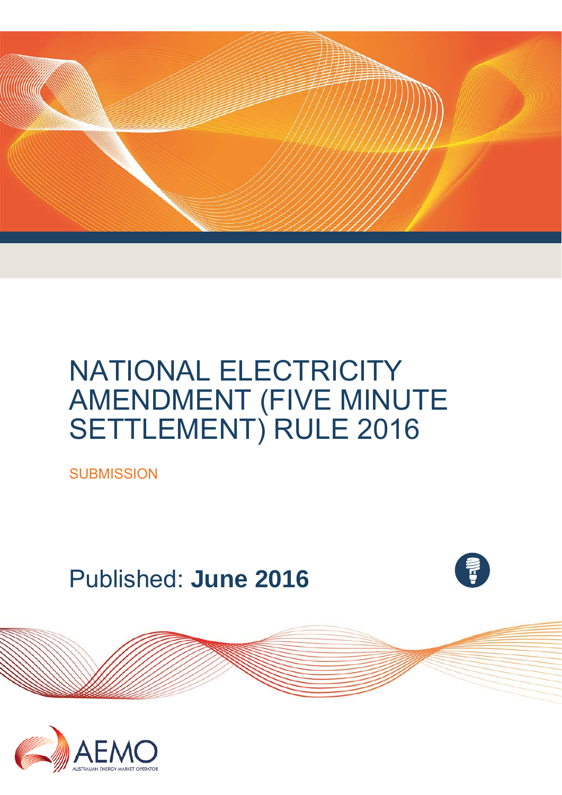

# NATIONAL ELECTRICITY AMENDMENT (FIVE MINUTE SETTLEMENT) RULE 2016

**SUBMISSION** 

Published: **June 2016**

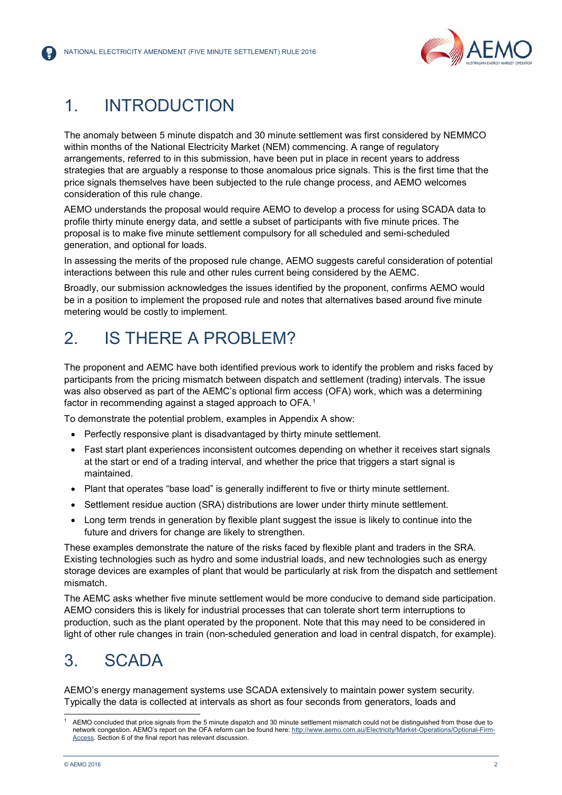

## 1. INTRODUCTION

The anomaly between 5 minute dispatch and 30 minute settlement was first considered by NEMMCO within months of the National Electricity Market (NEM) commencing. A range of regulatory arrangements, referred to in this submission, have been put in place in recent years to address strategies that are arguably a response to those anomalous price signals. This is the first time that the price signals themselves have been subjected to the rule change process, and AEMO welcomes consideration of this rule change.

AEMO understands the proposal would require AEMO to develop a process for using SCADA data to profile thirty minute energy data, and settle a subset of participants with five minute prices. The proposal is to make five minute settlement compulsory for all scheduled and semi-scheduled generation, and optional for loads.

In assessing the merits of the proposed rule change, AEMO suggests careful consideration of potential interactions between this rule and other rules current being considered by the AEMC.

Broadly, our submission acknowledges the issues identified by the proponent, confirms AEMO would be in a position to implement the proposed rule and notes that alternatives based around five minute metering would be costly to implement.

## 2. IS THERE A PROBLEM?

The proponent and AEMC have both identified previous work to identify the problem and risks faced by participants from the pricing mismatch between dispatch and settlement (trading) intervals. The issue was also observed as part of the AEMC's optional firm access (OFA) work, which was a determining factor in recommending against a staged approach to OFA.<sup>[1](#page-2-0)</sup>

To demonstrate the potential problem, examples in Appendix A show:

- Perfectly responsive plant is disadvantaged by thirty minute settlement.
- Fast start plant experiences inconsistent outcomes depending on whether it receives start signals at the start or end of a trading interval, and whether the price that triggers a start signal is maintained.
- Plant that operates "base load" is generally indifferent to five or thirty minute settlement.
- Settlement residue auction (SRA) distributions are lower under thirty minute settlement.
- Long term trends in generation by flexible plant suggest the issue is likely to continue into the future and drivers for change are likely to strengthen.

These examples demonstrate the nature of the risks faced by flexible plant and traders in the SRA. Existing technologies such as hydro and some industrial loads, and new technologies such as energy storage devices are examples of plant that would be particularly at risk from the dispatch and settlement mismatch.

The AEMC asks whether five minute settlement would be more conducive to demand side participation. AEMO considers this is likely for industrial processes that can tolerate short term interruptions to production, such as the plant operated by the proponent. Note that this may need to be considered in light of other rule changes in train (non-scheduled generation and load in central dispatch, for example).

## 3. SCADA

AEMO's energy management systems use SCADA extensively to maintain power system security. Typically the data is collected at intervals as short as four seconds from generators, loads and

<span id="page-2-0"></span>j 1 AEMO concluded that price signals from the 5 minute dispatch and 30 minute settlement mismatch could not be distinguished from those due to network congestion. AEMO's report on the OFA reform can be found here[: http://www.aemo.com.au/Electricity/Market-Operations/Optional-Firm-](http://www.aemo.com.au/Electricity/Market-Operations/Optional-Firm-Access)[Access.](http://www.aemo.com.au/Electricity/Market-Operations/Optional-Firm-Access) Section 6 of the final report has relevant discussion.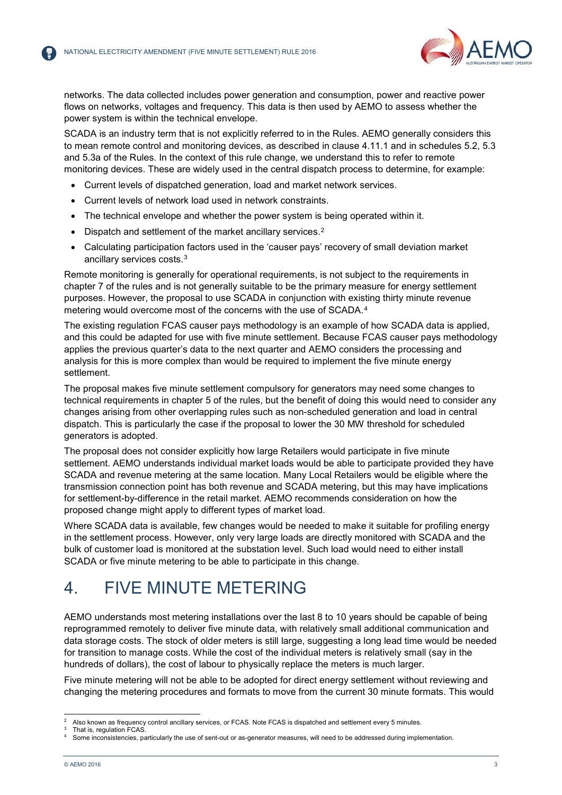

networks. The data collected includes power generation and consumption, power and reactive power flows on networks, voltages and frequency. This data is then used by AEMO to assess whether the power system is within the technical envelope.

SCADA is an industry term that is not explicitly referred to in the Rules. AEMO generally considers this to mean remote control and monitoring devices, as described in clause 4.11.1 and in schedules 5.2, 5.3 and 5.3a of the Rules. In the context of this rule change, we understand this to refer to remote monitoring devices. These are widely used in the central dispatch process to determine, for example:

- Current levels of dispatched generation, load and market network services.
- Current levels of network load used in network constraints.
- The technical envelope and whether the power system is being operated within it.
- Dispatch and settlement of the market ancillary services.<sup>[2](#page-3-0)</sup>
- Calculating participation factors used in the 'causer pays' recovery of small deviation market ancillary services costs.[3](#page-3-1)

Remote monitoring is generally for operational requirements, is not subject to the requirements in chapter 7 of the rules and is not generally suitable to be the primary measure for energy settlement purposes. However, the proposal to use SCADA in conjunction with existing thirty minute revenue metering would overcome most of the concerns with the use of SCADA.[4](#page-3-2)

The existing regulation FCAS causer pays methodology is an example of how SCADA data is applied, and this could be adapted for use with five minute settlement. Because FCAS causer pays methodology applies the previous quarter's data to the next quarter and AEMO considers the processing and analysis for this is more complex than would be required to implement the five minute energy settlement.

The proposal makes five minute settlement compulsory for generators may need some changes to technical requirements in chapter 5 of the rules, but the benefit of doing this would need to consider any changes arising from other overlapping rules such as non-scheduled generation and load in central dispatch. This is particularly the case if the proposal to lower the 30 MW threshold for scheduled generators is adopted.

The proposal does not consider explicitly how large Retailers would participate in five minute settlement. AEMO understands individual market loads would be able to participate provided they have SCADA and revenue metering at the same location. Many Local Retailers would be eligible where the transmission connection point has both revenue and SCADA metering, but this may have implications for settlement-by-difference in the retail market. AEMO recommends consideration on how the proposed change might apply to different types of market load.

Where SCADA data is available, few changes would be needed to make it suitable for profiling energy in the settlement process. However, only very large loads are directly monitored with SCADA and the bulk of customer load is monitored at the substation level. Such load would need to either install SCADA or five minute metering to be able to participate in this change.

## 4. FIVE MINUTE METERING

AEMO understands most metering installations over the last 8 to 10 years should be capable of being reprogrammed remotely to deliver five minute data, with relatively small additional communication and data storage costs. The stock of older meters is still large, suggesting a long lead time would be needed for transition to manage costs. While the cost of the individual meters is relatively small (say in the hundreds of dollars), the cost of labour to physically replace the meters is much larger.

Five minute metering will not be able to be adopted for direct energy settlement without reviewing and changing the metering procedures and formats to move from the current 30 minute formats. This would

 $\overline{2}$ <sup>2</sup> Also known as frequency control ancillary services, or FCAS. Note FCAS is dispatched and settlement every 5 minutes.<br><sup>3</sup> Thet is requisition FCAS

<span id="page-3-2"></span><span id="page-3-1"></span><span id="page-3-0"></span>That is, regulation FCAS.

Some inconsistencies, particularly the use of sent-out or as-generator measures, will need to be addressed during implementation.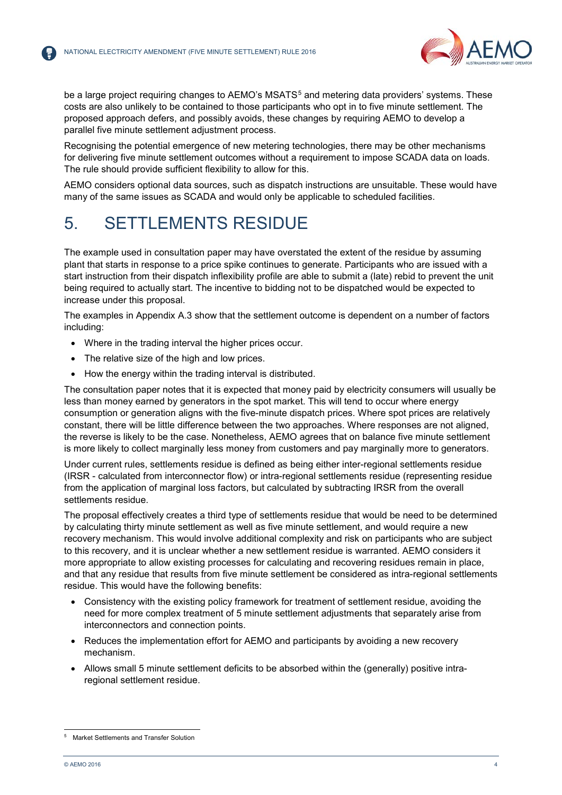

be a large project requiring changes to AEMO's MSATS<sup>[5](#page-4-0)</sup> and metering data providers' systems. These costs are also unlikely to be contained to those participants who opt in to five minute settlement. The proposed approach defers, and possibly avoids, these changes by requiring AEMO to develop a parallel five minute settlement adjustment process.

Recognising the potential emergence of new metering technologies, there may be other mechanisms for delivering five minute settlement outcomes without a requirement to impose SCADA data on loads. The rule should provide sufficient flexibility to allow for this.

AEMO considers optional data sources, such as dispatch instructions are unsuitable. These would have many of the same issues as SCADA and would only be applicable to scheduled facilities.

## 5. SETTLEMENTS RESIDUE

The example used in consultation paper may have overstated the extent of the residue by assuming plant that starts in response to a price spike continues to generate. Participants who are issued with a start instruction from their dispatch inflexibility profile are able to submit a (late) rebid to prevent the unit being required to actually start. The incentive to bidding not to be dispatched would be expected to increase under this proposal.

The examples in Appendix A.3 show that the settlement outcome is dependent on a number of factors including:

- Where in the trading interval the higher prices occur.
- The relative size of the high and low prices.
- How the energy within the trading interval is distributed.

The consultation paper notes that it is expected that money paid by electricity consumers will usually be less than money earned by generators in the spot market. This will tend to occur where energy consumption or generation aligns with the five-minute dispatch prices. Where spot prices are relatively constant, there will be little difference between the two approaches. Where responses are not aligned, the reverse is likely to be the case. Nonetheless, AEMO agrees that on balance five minute settlement is more likely to collect marginally less money from customers and pay marginally more to generators.

Under current rules, settlements residue is defined as being either inter-regional settlements residue (IRSR - calculated from interconnector flow) or intra-regional settlements residue (representing residue from the application of marginal loss factors, but calculated by subtracting IRSR from the overall settlements residue.

The proposal effectively creates a third type of settlements residue that would be need to be determined by calculating thirty minute settlement as well as five minute settlement, and would require a new recovery mechanism. This would involve additional complexity and risk on participants who are subject to this recovery, and it is unclear whether a new settlement residue is warranted. AEMO considers it more appropriate to allow existing processes for calculating and recovering residues remain in place, and that any residue that results from five minute settlement be considered as intra-regional settlements residue. This would have the following benefits:

- Consistency with the existing policy framework for treatment of settlement residue, avoiding the need for more complex treatment of 5 minute settlement adjustments that separately arise from interconnectors and connection points.
- Reduces the implementation effort for AEMO and participants by avoiding a new recovery mechanism.
- Allows small 5 minute settlement deficits to be absorbed within the (generally) positive intraregional settlement residue.

<span id="page-4-0"></span><sup>-</sup>5 Market Settlements and Transfer Solution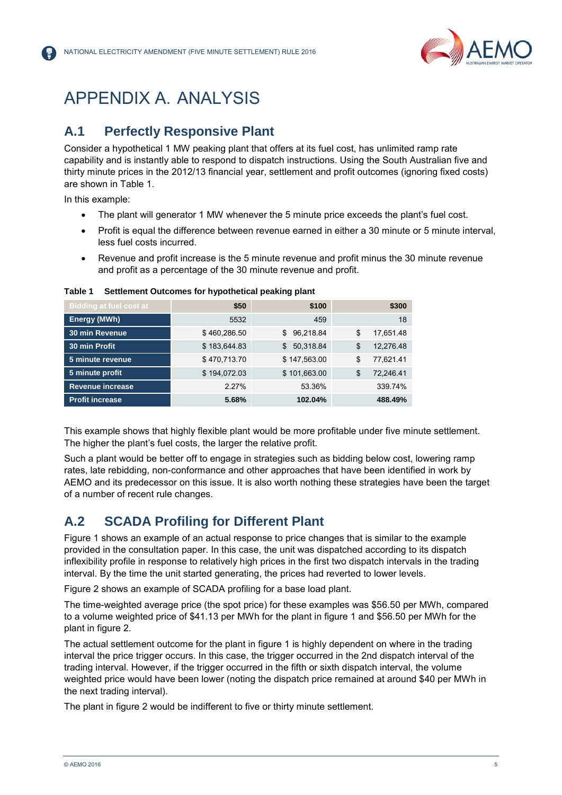

## APPENDIX A. ANALYSIS

#### **A.1 Perfectly Responsive Plant**

Consider a hypothetical 1 MW peaking plant that offers at its fuel cost, has unlimited ramp rate capability and is instantly able to respond to dispatch instructions. Using the South Australian five and thirty minute prices in the 2012/13 financial year, settlement and profit outcomes (ignoring fixed costs) are shown in Table 1.

In this example:

- The plant will generator 1 MW whenever the 5 minute price exceeds the plant's fuel cost.
- Profit is equal the difference between revenue earned in either a 30 minute or 5 minute interval. less fuel costs incurred.
- Revenue and profit increase is the 5 minute revenue and profit minus the 30 minute revenue and profit as a percentage of the 30 minute revenue and profit.

| <b>Bidding at fuel cost at</b> | \$50         | \$100           | \$300           |
|--------------------------------|--------------|-----------------|-----------------|
| Energy (MWh)                   | 5532         | 459             | 18              |
| <b>30 min Revenue</b>          | \$460,286.50 | \$96,218.84     | \$<br>17,651.48 |
| 30 min Profit                  | \$183,644.83 | 50,318.84<br>\$ | \$<br>12,276.48 |
| 5 minute revenue               | \$470,713.70 | \$147,563.00    | \$<br>77,621.41 |
| 5 minute profit                | \$194,072.03 | \$101,663.00    | \$<br>72,246.41 |
| <b>Revenue increase</b>        | 2.27%        | 53.36%          | 339.74%         |
| <b>Profit increase</b>         | 5.68%        | 102.04%         | 488.49%         |

#### **Table 1 Settlement Outcomes for hypothetical peaking plant**

This example shows that highly flexible plant would be more profitable under five minute settlement. The higher the plant's fuel costs, the larger the relative profit.

Such a plant would be better off to engage in strategies such as bidding below cost, lowering ramp rates, late rebidding, non-conformance and other approaches that have been identified in work by AEMO and its predecessor on this issue. It is also worth nothing these strategies have been the target of a number of recent rule changes.

#### **A.2 SCADA Profiling for Different Plant**

Figure 1 shows an example of an actual response to price changes that is similar to the example provided in the consultation paper. In this case, the unit was dispatched according to its dispatch inflexibility profile in response to relatively high prices in the first two dispatch intervals in the trading interval. By the time the unit started generating, the prices had reverted to lower levels.

Figure 2 shows an example of SCADA profiling for a base load plant.

The time-weighted average price (the spot price) for these examples was \$56.50 per MWh, compared to a volume weighted price of \$41.13 per MWh for the plant in figure 1 and \$56.50 per MWh for the plant in figure 2.

The actual settlement outcome for the plant in figure 1 is highly dependent on where in the trading interval the price trigger occurs. In this case, the trigger occurred in the 2nd dispatch interval of the trading interval. However, if the trigger occurred in the fifth or sixth dispatch interval, the volume weighted price would have been lower (noting the dispatch price remained at around \$40 per MWh in the next trading interval).

The plant in figure 2 would be indifferent to five or thirty minute settlement.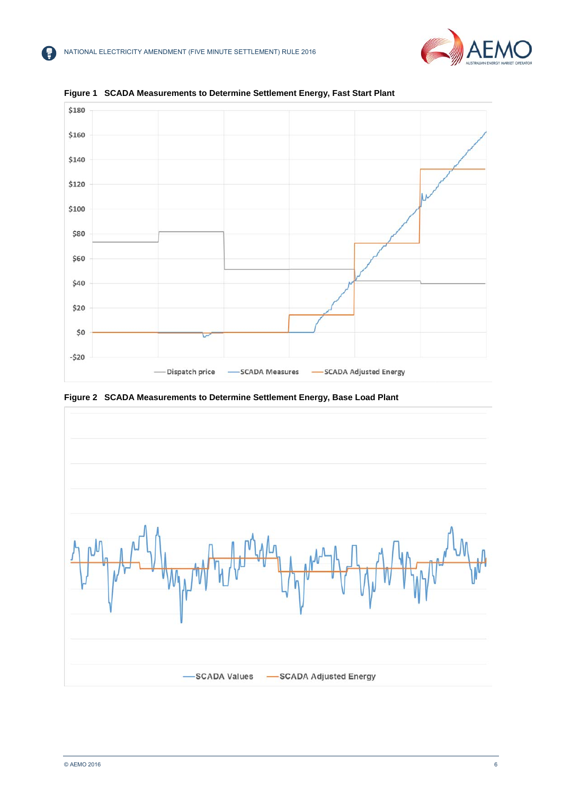



**Figure 1 SCADA Measurements to Determine Settlement Energy, Fast Start Plant**